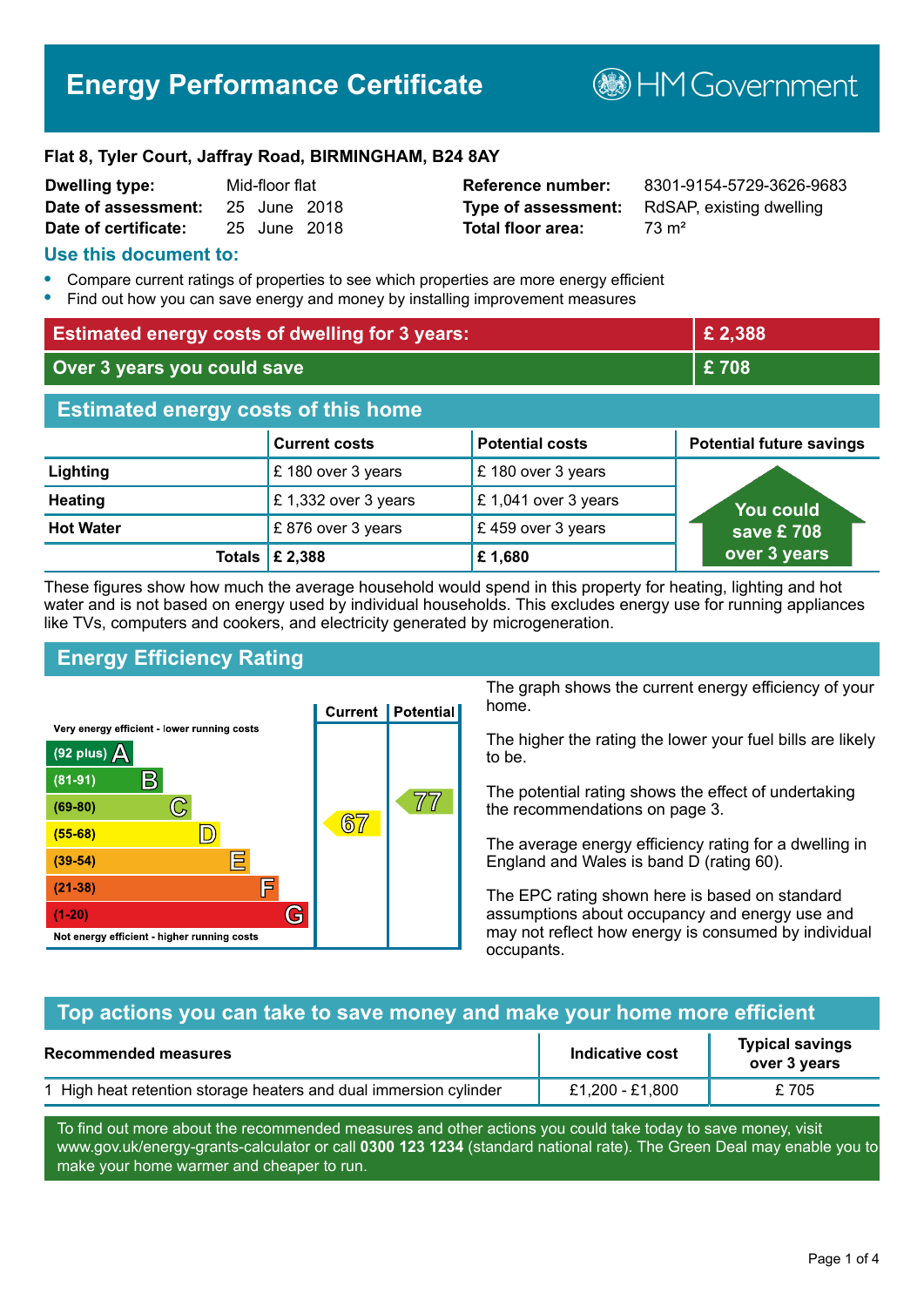# **Energy Performance Certificate**

**B**HM Government

#### **Flat 8, Tyler Court, Jaffray Road, BIRMINGHAM, B24 8AY**

| Dwelling type:       | Mid-floor flat |              |  |
|----------------------|----------------|--------------|--|
| Date of assessment:  |                | 25 June 2018 |  |
| Date of certificate: |                | 25 June 2018 |  |

# **Total floor area:** 73 m<sup>2</sup>

**Reference number:** 8301-9154-5729-3626-9683 **Type of assessment:** RdSAP, existing dwelling

#### **Use this document to:**

- **•** Compare current ratings of properties to see which properties are more energy efficient
- **•** Find out how you can save energy and money by installing improvement measures

| <b>Estimated energy costs of dwelling for 3 years:</b> |                      | £2,388                 |                                 |
|--------------------------------------------------------|----------------------|------------------------|---------------------------------|
| Over 3 years you could save                            |                      | £708                   |                                 |
| <b>Estimated energy costs of this home</b>             |                      |                        |                                 |
|                                                        | <b>Current costs</b> | <b>Potential costs</b> | <b>Potential future savings</b> |
| Lighting                                               | £180 over 3 years    | £180 over 3 years      |                                 |
| <b>Heating</b>                                         | £1,332 over 3 years  | £1,041 over 3 years    | <b>You could</b>                |
| <b>Hot Water</b>                                       | £876 over 3 years    | £459 over 3 years      | save £ $708$                    |
| <b>Totals</b>                                          | £ 2,388              | £1,680                 | over 3 years                    |

These figures show how much the average household would spend in this property for heating, lighting and hot water and is not based on energy used by individual households. This excludes energy use for running appliances like TVs, computers and cookers, and electricity generated by microgeneration.

# **Energy Efficiency Rating**



The graph shows the current energy efficiency of your home.

The higher the rating the lower your fuel bills are likely to be.

The potential rating shows the effect of undertaking the recommendations on page 3.

The average energy efficiency rating for a dwelling in England and Wales is band D (rating 60).

The EPC rating shown here is based on standard assumptions about occupancy and energy use and may not reflect how energy is consumed by individual occupants.

# **Top actions you can take to save money and make your home more efficient**

| <b>Recommended measures</b>                                       | Indicative cost | <b>Typical savings</b><br>over 3 years |
|-------------------------------------------------------------------|-----------------|----------------------------------------|
| 1 High heat retention storage heaters and dual immersion cylinder | £1,200 - £1,800 | £705                                   |

To find out more about the recommended measures and other actions you could take today to save money, visit www.gov.uk/energy-grants-calculator or call **0300 123 1234** (standard national rate). The Green Deal may enable you to make your home warmer and cheaper to run.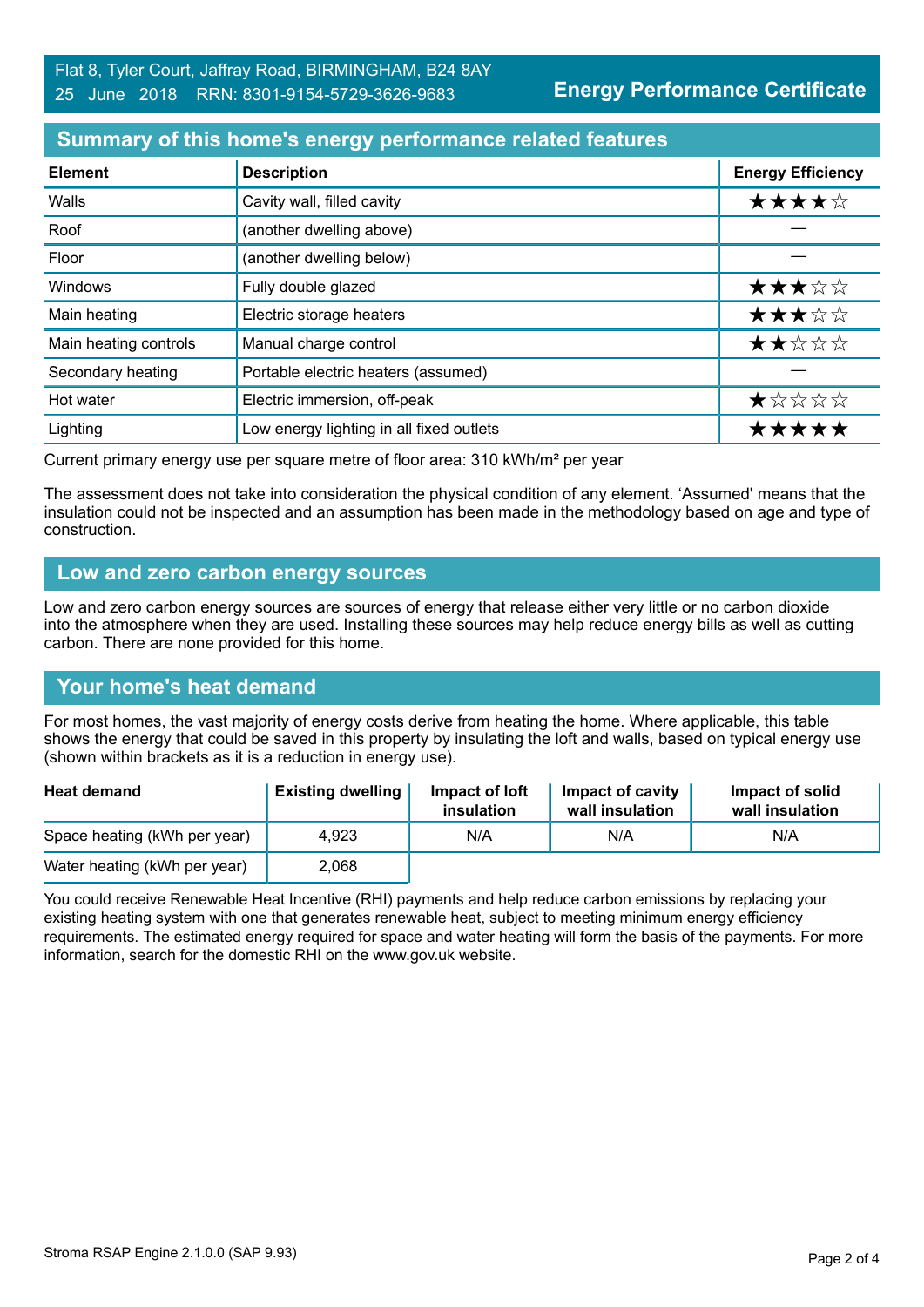# **Summary of this home's energy performance related features**

| <b>Element</b>        | <b>Description</b>                       | <b>Energy Efficiency</b> |
|-----------------------|------------------------------------------|--------------------------|
| Walls                 | Cavity wall, filled cavity               | ★★★★☆                    |
| Roof                  | (another dwelling above)                 |                          |
| Floor                 | (another dwelling below)                 |                          |
| Windows               | Fully double glazed                      | ★★★☆☆                    |
| Main heating          | Electric storage heaters                 | ★★★☆☆                    |
| Main heating controls | Manual charge control                    | ★★☆☆☆                    |
| Secondary heating     | Portable electric heaters (assumed)      |                          |
| Hot water             | Electric immersion, off-peak             | ★☆☆☆☆                    |
| Lighting              | Low energy lighting in all fixed outlets | *****                    |

Current primary energy use per square metre of floor area: 310 kWh/m² per year

The assessment does not take into consideration the physical condition of any element. 'Assumed' means that the insulation could not be inspected and an assumption has been made in the methodology based on age and type of construction.

#### **Low and zero carbon energy sources**

Low and zero carbon energy sources are sources of energy that release either very little or no carbon dioxide into the atmosphere when they are used. Installing these sources may help reduce energy bills as well as cutting carbon. There are none provided for this home.

# **Your home's heat demand**

For most homes, the vast majority of energy costs derive from heating the home. Where applicable, this table shows the energy that could be saved in this property by insulating the loft and walls, based on typical energy use (shown within brackets as it is a reduction in energy use).

| <b>Heat demand</b>           | <b>Existing dwelling</b> | Impact of loft<br>insulation | Impact of cavity<br>wall insulation | Impact of solid<br>wall insulation |
|------------------------------|--------------------------|------------------------------|-------------------------------------|------------------------------------|
| Space heating (kWh per year) | 4.923                    | N/A                          | N/A                                 | N/A                                |
| Water heating (kWh per year) | 2,068                    |                              |                                     |                                    |

You could receive Renewable Heat Incentive (RHI) payments and help reduce carbon emissions by replacing your existing heating system with one that generates renewable heat, subject to meeting minimum energy efficiency requirements. The estimated energy required for space and water heating will form the basis of the payments. For more information, search for the domestic RHI on the www.gov.uk website.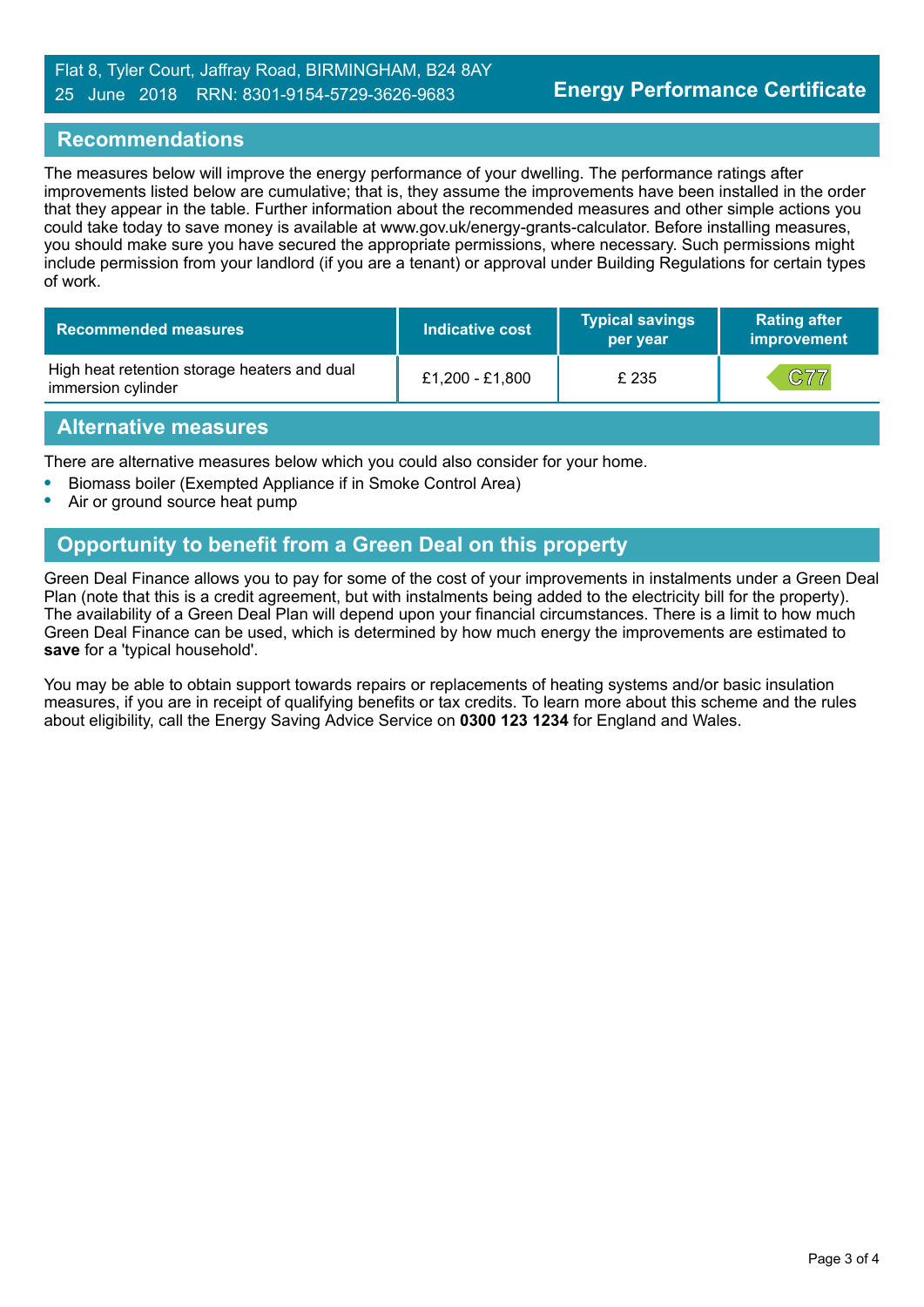#### Flat 8, Tyler Court, Jaffray Road, BIRMINGHAM, B24 8AY 25 June 2018 RRN: 8301-9154-5729-3626-9683

#### **Recommendations**

The measures below will improve the energy performance of your dwelling. The performance ratings after improvements listed below are cumulative; that is, they assume the improvements have been installed in the order that they appear in the table. Further information about the recommended measures and other simple actions you could take today to save money is available at www.gov.uk/energy-grants-calculator. Before installing measures, you should make sure you have secured the appropriate permissions, where necessary. Such permissions might include permission from your landlord (if you are a tenant) or approval under Building Regulations for certain types of work.

| <b>Recommended measures</b>                                        | Indicative cost | <b>Typical savings</b><br>per year | <b>Rating after</b><br>improvement |
|--------------------------------------------------------------------|-----------------|------------------------------------|------------------------------------|
| High heat retention storage heaters and dual<br>immersion cylinder | £1,200 - £1,800 | £ 235                              | C77                                |

#### **Alternative measures**

There are alternative measures below which you could also consider for your home.

- **•** Biomass boiler (Exempted Appliance if in Smoke Control Area)
- **•** Air or ground source heat pump

# **Opportunity to benefit from a Green Deal on this property**

Green Deal Finance allows you to pay for some of the cost of your improvements in instalments under a Green Deal Plan (note that this is a credit agreement, but with instalments being added to the electricity bill for the property). The availability of a Green Deal Plan will depend upon your financial circumstances. There is a limit to how much Green Deal Finance can be used, which is determined by how much energy the improvements are estimated to **save** for a 'typical household'.

You may be able to obtain support towards repairs or replacements of heating systems and/or basic insulation measures, if you are in receipt of qualifying benefits or tax credits. To learn more about this scheme and the rules about eligibility, call the Energy Saving Advice Service on **0300 123 1234** for England and Wales.